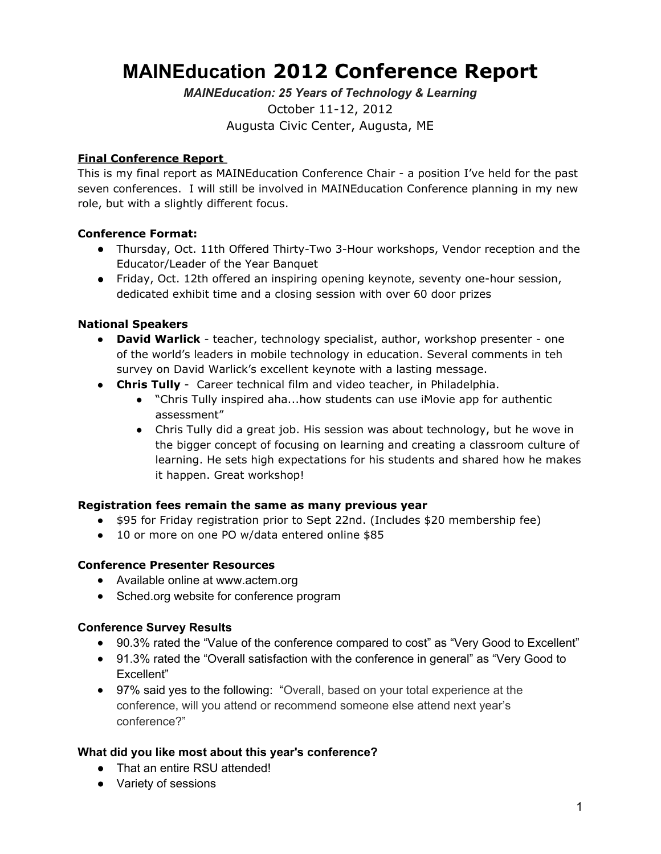# **MAINEducation 2012 Conference Report**

*MAINEducation: 25 Years of Technology & Learning* October 11-12, 2012 Augusta Civic Center, Augusta, ME

### **Final Conference Report**

This is my final report as MAINEducation Conference Chair - a position I've held for the past seven conferences. I will still be involved in MAINEducation Conference planning in my new role, but with a slightly different focus.

### **Conference Format:**

- Thursday, Oct. 11th Offered Thirty-Two 3-Hour workshops, Vendor reception and the Educator/Leader of the Year Banquet
- Friday, Oct. 12th offered an inspiring opening keynote, seventy one-hour session, dedicated exhibit time and a closing session with over 60 door prizes

### **National Speakers**

- **David Warlick** teacher, technology specialist, author, workshop presenter one of the world's leaders in mobile technology in education. Several comments in teh survey on David Warlick's excellent keynote with a lasting message.
- **Chris Tully**  Career technical film and video teacher, in Philadelphia.
	- **●** "Chris Tully inspired aha...how students can use iMovie app for authentic assessment"
	- **●** Chris Tully did a great job. His session was about technology, but he wove in the bigger concept of focusing on learning and creating a classroom culture of learning. He sets high expectations for his students and shared how he makes it happen. Great workshop!

### **Registration fees remain the same as many previous year**

- \$95 for Friday registration prior to Sept 22nd. (Includes \$20 membership fee)
- 10 or more on one PO w/data entered online \$85

### **Conference Presenter Resources**

- Available online at [www.actem.org](http://www.actem.org)
- Sched.org website for conference program

#### **Conference Survey Results**

- 90.3% rated the "Value of the conference compared to cost" as "Very Good to Excellent"
- 91.3% rated the "Overall satisfaction with the conference in general" as "Very Good to Excellent"
- 97% said yes to the following: "Overall, based on your total experience at the conference, will you attend or recommend someone else attend next year's conference?"

### **What did you like most about this year's conference?**

- That an entire RSU attended!
- Variety of sessions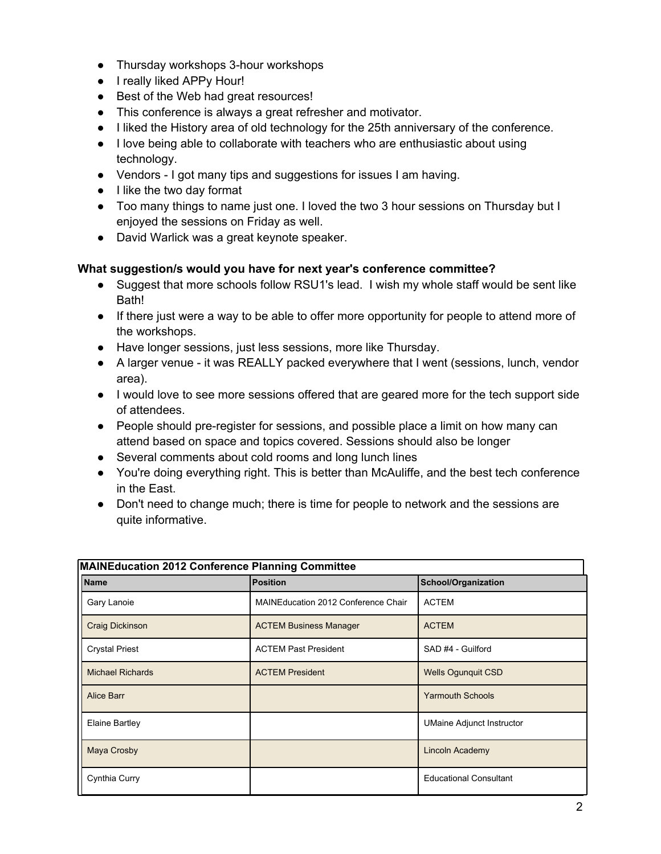- Thursday workshops 3-hour workshops
- I really liked APPy Hour!
- Best of the Web had great resources!
- This conference is always a great refresher and motivator.
- I liked the History area of old technology for the 25th anniversary of the conference.
- I love being able to collaborate with teachers who are enthusiastic about using technology.
- Vendors I got many tips and suggestions for issues I am having.
- I like the two day format
- Too many things to name just one. I loved the two 3 hour sessions on Thursday but I enjoyed the sessions on Friday as well.
- David Warlick was a great keynote speaker.

## **What suggestion/s would you have for next year's conference committee?**

- Suggest that more schools follow RSU1's lead. I wish my whole staff would be sent like **Bath!**
- If there just were a way to be able to offer more opportunity for people to attend more of the workshops.
- Have longer sessions, just less sessions, more like Thursday.
- A larger venue it was REALLY packed everywhere that I went (sessions, lunch, vendor area).
- I would love to see more sessions offered that are geared more for the tech support side of attendees.
- People should pre-register for sessions, and possible place a limit on how many can attend based on space and topics covered. Sessions should also be longer
- Several comments about cold rooms and long lunch lines
- You're doing everything right. This is better than McAuliffe, and the best tech conference in the East.
- Don't need to change much; there is time for people to network and the sessions are quite informative.

| MAINEducation 2012 Conference Planning Committee |                                     |                                  |  |  |  |  |
|--------------------------------------------------|-------------------------------------|----------------------------------|--|--|--|--|
| Name                                             | <b>Position</b>                     | School/Organization              |  |  |  |  |
| Gary Lanoie                                      | MAINEducation 2012 Conference Chair | <b>ACTEM</b>                     |  |  |  |  |
| Craig Dickinson                                  | <b>ACTEM Business Manager</b>       | <b>ACTEM</b>                     |  |  |  |  |
| <b>Crystal Priest</b>                            | <b>ACTEM Past President</b>         | SAD #4 - Guilford                |  |  |  |  |
| <b>Michael Richards</b>                          | <b>ACTEM President</b>              | <b>Wells Ogunguit CSD</b>        |  |  |  |  |
| Alice Barr                                       |                                     | <b>Yarmouth Schools</b>          |  |  |  |  |
| Elaine Bartley                                   |                                     | <b>UMaine Adjunct Instructor</b> |  |  |  |  |
| Maya Crosby                                      |                                     | Lincoln Academy                  |  |  |  |  |
| Cynthia Curry                                    |                                     | <b>Educational Consultant</b>    |  |  |  |  |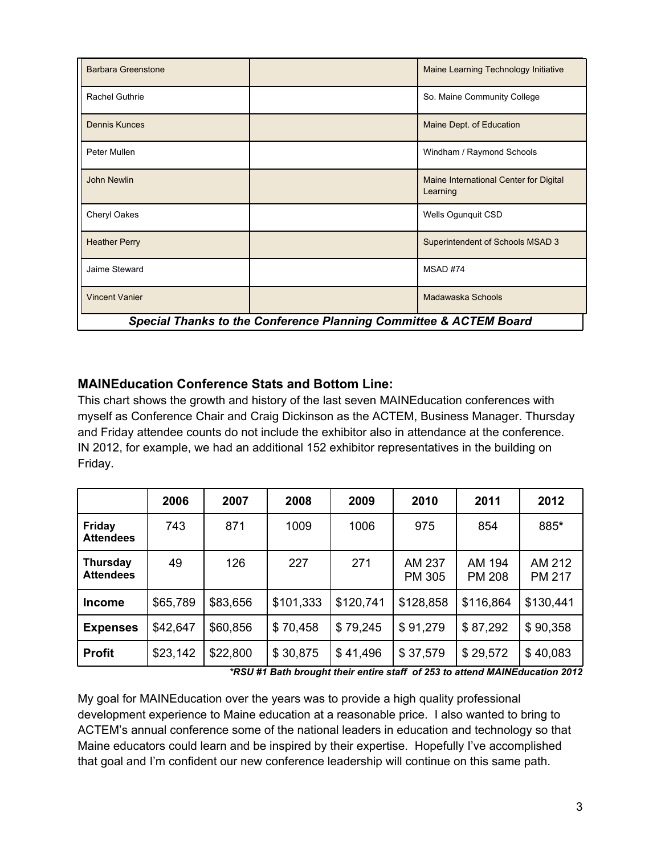| <b>Barbara Greenstone</b>                                         |  | Maine Learning Technology Initiative               |  |  |  |  |
|-------------------------------------------------------------------|--|----------------------------------------------------|--|--|--|--|
| Rachel Guthrie                                                    |  | So. Maine Community College                        |  |  |  |  |
| <b>Dennis Kunces</b>                                              |  | Maine Dept. of Education                           |  |  |  |  |
| Peter Mullen                                                      |  | Windham / Raymond Schools                          |  |  |  |  |
| <b>John Newlin</b>                                                |  | Maine International Center for Digital<br>Learning |  |  |  |  |
| Cheryl Oakes                                                      |  | Wells Ogunguit CSD                                 |  |  |  |  |
| <b>Heather Perry</b>                                              |  | Superintendent of Schools MSAD 3                   |  |  |  |  |
| Jaime Steward                                                     |  | MSAD #74                                           |  |  |  |  |
| <b>Vincent Vanier</b>                                             |  | Madawaska Schools                                  |  |  |  |  |
| Special Thanks to the Conference Planning Committee & ACTEM Board |  |                                                    |  |  |  |  |

# **MAINEducation Conference Stats and Bottom Line:**

This chart shows the growth and history of the last seven MAINEducation conferences with myself as Conference Chair and Craig Dickinson as the ACTEM, Business Manager. Thursday and Friday attendee counts do not include the exhibitor also in attendance at the conference. IN 2012, for example, we had an additional 152 exhibitor representatives in the building on Friday.

|                                     | 2006     | 2007     | 2008      | 2009      | 2010                    | 2011                    | 2012                    |
|-------------------------------------|----------|----------|-----------|-----------|-------------------------|-------------------------|-------------------------|
| <b>Friday</b><br><b>Attendees</b>   | 743      | 871      | 1009      | 1006      | 975                     | 854                     | 885*                    |
| <b>Thursday</b><br><b>Attendees</b> | 49       | 126      | 227       | 271       | AM 237<br><b>PM 305</b> | AM 194<br><b>PM 208</b> | AM 212<br><b>PM 217</b> |
| <b>Income</b>                       | \$65,789 | \$83,656 | \$101,333 | \$120,741 | \$128,858               | \$116,864               | \$130,441               |
| <b>Expenses</b>                     | \$42,647 | \$60,856 | \$70,458  | \$79,245  | \$91,279                | \$87,292                | \$90,358                |
| <b>Profit</b>                       | \$23,142 | \$22,800 | \$30,875  | \$41,496  | \$37,579                | \$29,572                | \$40,083                |

*\*RSU #1 Bath brought their entire staff of 253 to attend MAINEducation 2012*

My goal for MAINEducation over the years was to provide a high quality professional development experience to Maine education at a reasonable price. I also wanted to bring to ACTEM's annual conference some of the national leaders in education and technology so that Maine educators could learn and be inspired by their expertise. Hopefully I've accomplished that goal and I'm confident our new conference leadership will continue on this same path.